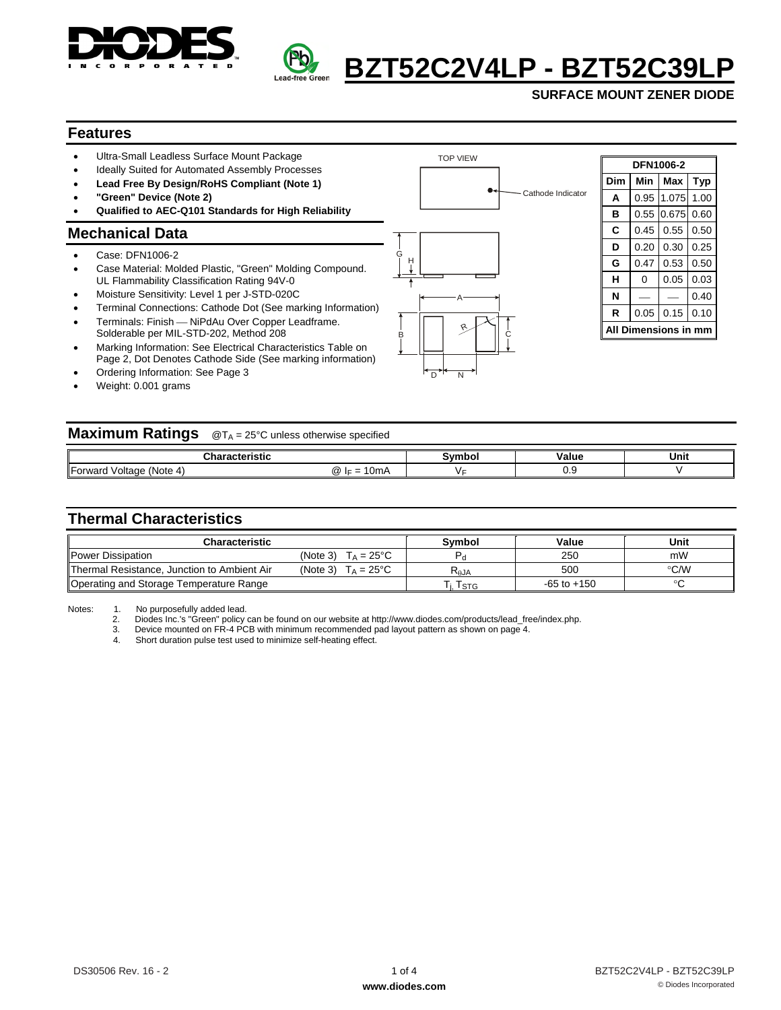



# **BZT52C2V4LP - BZT52C39L**

**SURFACE MOUNT ZENER DIODE** 

#### **Features**

- Ultra-Small Leadless Surface Mount Package
- Ideally Suited for Automated Assembly Processes
- **Lead Free By Design/RoHS Compliant (Note 1)**
- **"Green" Device (Note 2)**
- **Qualified to AEC-Q101 Standards for High Reliability**

#### **Mechanical Data**

- Case: DFN1006-2
- Case Material: Molded Plastic, "Green" Molding Compound. UL Flammability Classification Rating 94V-0
- Moisture Sensitivity: Level 1 per J-STD-020C
- Terminal Connections: Cathode Dot (See marking Information)
- Terminals: Finish NiPdAu Over Copper Leadframe. Solderable per MIL-STD-202, Method 208
- Marking Information: See Electrical Characteristics Table on Page 2, Dot Denotes Cathode Side (See marking information)
- Ordering Information: See Page 3
- Weight: 0.001 grams



TOP VIEW

| DFN1006-2        |      |       |            |  |  |  |  |
|------------------|------|-------|------------|--|--|--|--|
| Dim              | Min  | Max   | <b>Typ</b> |  |  |  |  |
| A                | 0.95 | 1.075 | 1.00       |  |  |  |  |
| в                | 0.55 | 0.675 | 0.60       |  |  |  |  |
| C                | 0.45 | 0.55  | 0.50       |  |  |  |  |
| D                | 0.20 | 0.30  | 0.25       |  |  |  |  |
| G                | 0.47 | 0.53  | 0.50       |  |  |  |  |
| н                | 0    | 0.05  | 0.03       |  |  |  |  |
| N                |      |       | 0.40       |  |  |  |  |
| R                | 0.05 | 0.15  | 0.10       |  |  |  |  |
| Dimensions in mm |      |       |            |  |  |  |  |

| <b>Maximum Ratings</b> @TA = 25°C unless otherwise specified |                |        |       |      |  |  |  |
|--------------------------------------------------------------|----------------|--------|-------|------|--|--|--|
|                                                              | Characteristic | Symbol | Value | Unit |  |  |  |
| Forward Voltage (Note 4)                                     | @ $F = 10mA$   |        | 0.9   |      |  |  |  |

### **Thermal Characteristics**

| <b>Characteristic</b>                       |                                 | <b>Symbol</b>                           | Value           | Unit          |
|---------------------------------------------|---------------------------------|-----------------------------------------|-----------------|---------------|
| Power Dissipation                           | $T_A = 25^{\circ}C$<br>(Note 3) |                                         | 250             | mW            |
| Thermal Resistance, Junction to Ambient Air | $T_A = 25^{\circ}C$<br>(Note 3) | $\mathsf{R}_{\boldsymbol{\uptheta}}$ JA | 500             | $\degree$ C/W |
| Operating and Storage Temperature Range     |                                 | I STG                                   | $-65$ to $+150$ | ∘             |

3. Device mounted on FR-4 PCB with minimum recommended pad layout pattern as shown on page 4.<br>4. Short duration pulse test used to minimize self-heating effect.

Short duration pulse test used to minimize self-heating effect.

Notes: 1. No purposefully added lead.<br>2. Diodes Inc.'s "Green" policy 2. Diodes Inc.'s "Green" policy can be found on our website at http://www.diodes.com/products/lead\_free/index.php.<br>3. Device mounted on FR-4 PCB with minimum recommended pad layout pattern as shown on page 4.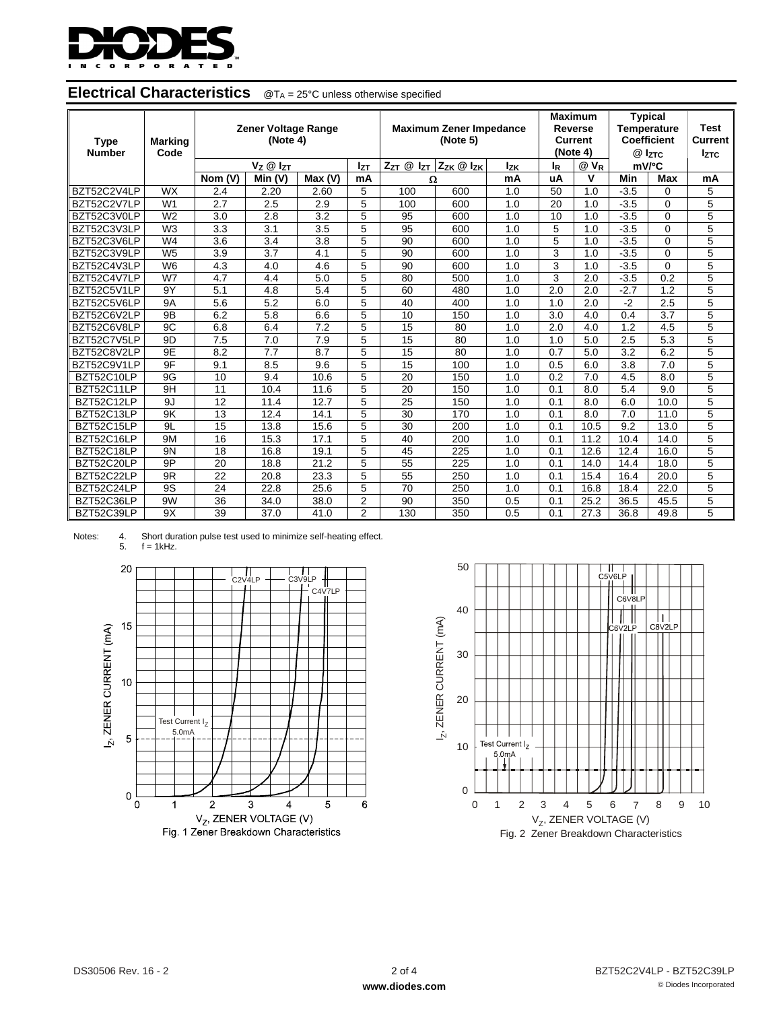

| <b>Type</b><br><b>Number</b> | Marking<br>Code | <b>Zener Voltage Range</b><br>(Note 4) |                      |        | <b>Maximum Zener Impedance</b><br>(Note 5) |                       |                       | <b>Maximum</b><br>Reverse<br><b>Current</b><br>(Note 4) |                       | <b>Typical</b><br><b>Temperature</b><br><b>Coefficient</b><br>@ IzTC |        | Test<br>Current<br><b>Iztc</b> |                |
|------------------------------|-----------------|----------------------------------------|----------------------|--------|--------------------------------------------|-----------------------|-----------------------|---------------------------------------------------------|-----------------------|----------------------------------------------------------------------|--------|--------------------------------|----------------|
|                              |                 |                                        | $V_Z \otimes I_{ZT}$ |        | Izт                                        | $Z_{ZT}$ $@$ $I_{ZT}$ | $Z_{ZK}$ $@$ $I_{ZK}$ | <b>Izk</b>                                              | <b>l</b> <sub>R</sub> | $@V_{R}$                                                             | mV/°C  |                                |                |
|                              |                 | Nom (V)                                | Min (V)              | Max(V) | mA                                         | Ω                     |                       | mA                                                      | uA                    | $\mathbf v$                                                          | Min    | Max                            | mA             |
| BZT52C2V4LP                  | <b>WX</b>       | 2.4                                    | 2.20                 | 2.60   | 5                                          | 100                   | 600                   | 1.0                                                     | 50                    | 1.0                                                                  | $-3.5$ | $\Omega$                       | 5              |
| BZT52C2V7LP                  | W <sub>1</sub>  | 2.7                                    | 2.5                  | 2.9    | 5                                          | 100                   | 600                   | 1.0                                                     | 20                    | 1.0                                                                  | $-3.5$ | $\Omega$                       | 5              |
| BZT52C3V0LP                  | W <sub>2</sub>  | 3.0                                    | 2.8                  | 3.2    | 5                                          | 95                    | 600                   | 1.0                                                     | 10                    | 1.0                                                                  | $-3.5$ | $\Omega$                       | 5              |
| BZT52C3V3LP                  | W <sub>3</sub>  | 3.3                                    | 3.1                  | 3.5    | 5                                          | 95                    | 600                   | 1.0                                                     | 5                     | 1.0                                                                  | $-3.5$ | $\Omega$                       | 5              |
| BZT52C3V6LP                  | W <sub>4</sub>  | 3.6                                    | 3.4                  | 3.8    | 5                                          | 90                    | 600                   | 1.0                                                     | 5                     | 1.0                                                                  | $-3.5$ | $\Omega$                       | 5              |
| BZT52C3V9LP                  | W <sub>5</sub>  | 3.9                                    | 3.7                  | 4.1    | 5                                          | 90                    | 600                   | 1.0                                                     | 3                     | 1.0                                                                  | $-3.5$ | $\Omega$                       | $\overline{5}$ |
| BZT52C4V3LP                  | W <sub>6</sub>  | 4.3                                    | 4.0                  | 4.6    | 5                                          | 90                    | 600                   | 1.0                                                     | 3                     | 1.0                                                                  | $-3.5$ | $\Omega$                       | 5              |
| BZT52C4V7LP                  | W7              | 4.7                                    | 4.4                  | 5.0    | 5                                          | 80                    | 500                   | 1.0                                                     | 3                     | 2.0                                                                  | $-3.5$ | 0.2                            | 5              |
| BZT52C5V1LP                  | 9Y              | 5.1                                    | 4.8                  | 5.4    | 5                                          | 60                    | 480                   | 1.0                                                     | 2.0                   | 2.0                                                                  | $-2.7$ | 1.2                            | 5              |
| BZT52C5V6LP                  | <b>9A</b>       | 5.6                                    | 5.2                  | 6.0    | 5                                          | 40                    | 400                   | 1.0                                                     | 1.0                   | 2.0                                                                  | $-2$   | 2.5                            | 5              |
| BZT52C6V2LP                  | 9B              | 6.2                                    | 5.8                  | 6.6    | 5                                          | 10                    | 150                   | 1.0                                                     | 3.0                   | 4.0                                                                  | 0.4    | 3.7                            | 5              |
| BZT52C6V8LP                  | 9C              | 6.8                                    | 6.4                  | 7.2    | 5                                          | 15                    | 80                    | 1.0                                                     | 2.0                   | 4.0                                                                  | 1.2    | 4.5                            | 5              |
| BZT52C7V5LP                  | 9D              | 7.5                                    | 7.0                  | 7.9    | 5                                          | 15                    | 80                    | 1.0                                                     | 1.0                   | 5.0                                                                  | 2.5    | 5.3                            | 5              |
| BZT52C8V2LP                  | 9E              | 8.2                                    | 7.7                  | 8.7    | 5                                          | 15                    | 80                    | 1.0                                                     | 0.7                   | 5.0                                                                  | 3.2    | 6.2                            | 5              |
| BZT52C9V1LP                  | 9F              | 9.1                                    | 8.5                  | 9.6    | 5                                          | 15                    | 100                   | 1.0                                                     | 0.5                   | 6.0                                                                  | 3.8    | 7.0                            | 5              |
| BZT52C10LP                   | 9G              | 10                                     | 9.4                  | 10.6   | 5                                          | 20                    | 150                   | 1.0                                                     | 0.2                   | 7.0                                                                  | 4.5    | 8.0                            | 5              |
| BZT52C11LP                   | 9H              | 11                                     | 10.4                 | 11.6   | 5                                          | 20                    | 150                   | 1.0                                                     | 0.1                   | 8.0                                                                  | 5.4    | 9.0                            | 5              |
| BZT52C12LP                   | 9J              | 12                                     | 11.4                 | 12.7   | 5                                          | 25                    | 150                   | 1.0                                                     | 0.1                   | 8.0                                                                  | 6.0    | 10.0                           | 5              |
| BZT52C13LP                   | 9K              | 13                                     | 12.4                 | 14.1   | 5                                          | 30                    | 170                   | 1.0                                                     | 0.1                   | 8.0                                                                  | 7.0    | 11.0                           | 5              |
| BZT52C15LP                   | 9L              | 15                                     | 13.8                 | 15.6   | 5                                          | 30                    | 200                   | 1.0                                                     | 0.1                   | 10.5                                                                 | 9.2    | 13.0                           | 5              |
| BZT52C16LP                   | 9M              | 16                                     | 15.3                 | 17.1   | 5                                          | 40                    | 200                   | 1.0                                                     | 0.1                   | 11.2                                                                 | 10.4   | 14.0                           | 5              |
| BZT52C18LP                   | <b>9N</b>       | 18                                     | 16.8                 | 19.1   | 5                                          | 45                    | 225                   | 1.0                                                     | 0.1                   | 12.6                                                                 | 12.4   | 16.0                           | 5              |
| BZT52C20LP                   | 9P              | 20                                     | 18.8                 | 21.2   | 5                                          | 55                    | 225                   | 1.0                                                     | 0.1                   | 14.0                                                                 | 14.4   | 18.0                           | 5              |
| BZT52C22LP                   | 9 <sub>R</sub>  | 22                                     | 20.8                 | 23.3   | 5                                          | 55                    | 250                   | 1.0                                                     | 0.1                   | 15.4                                                                 | 16.4   | 20.0                           | 5              |
| BZT52C24LP                   | 9S              | 24                                     | 22.8                 | 25.6   | 5                                          | 70                    | 250                   | 1.0                                                     | 0.1                   | 16.8                                                                 | 18.4   | 22.0                           | 5              |
| BZT52C36LP                   | 9 <sub>W</sub>  | 36                                     | 34.0                 | 38.0   | $\overline{2}$                             | 90                    | 350                   | 0.5                                                     | 0.1                   | 25.2                                                                 | 36.5   | 45.5                           | 5              |
| BZT52C39LP                   | 9X              | 39                                     | 37.0                 | 41.0   | $\mathfrak{p}$                             | 130                   | 350                   | 0.5                                                     | 0.1                   | 27.3                                                                 | 36.8   | 49.8                           | 5              |

#### **Electrical Characteristics** @T<sub>A</sub> = 25°C unless otherwise specified





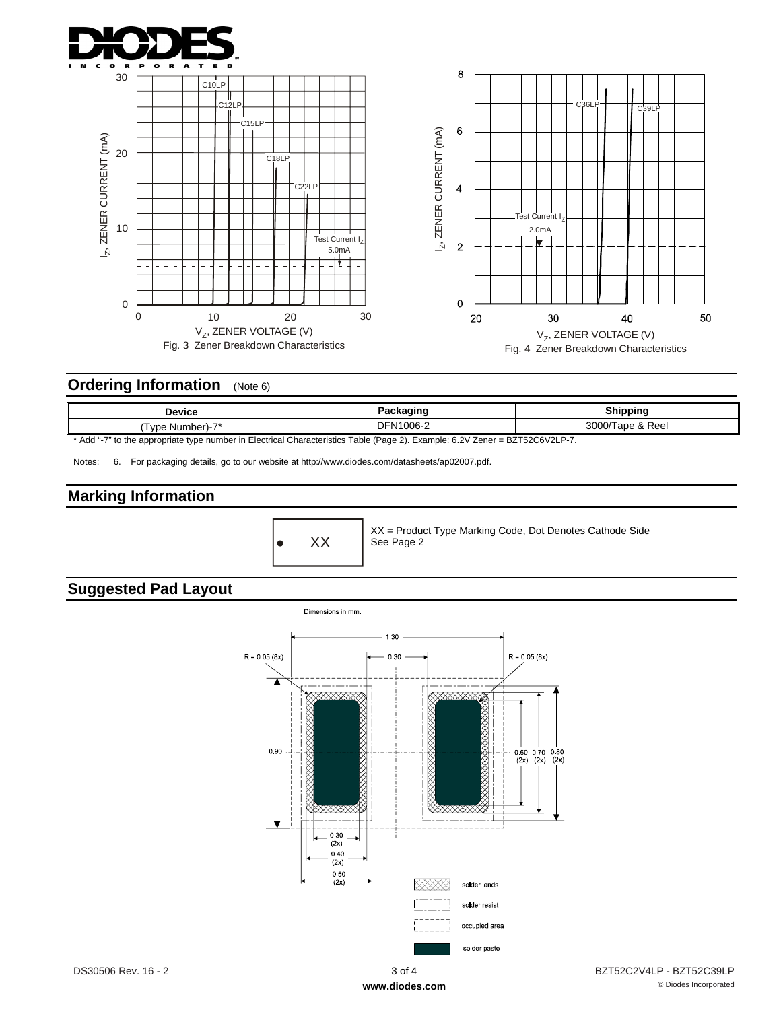



# **Ordering Information** (Note 6)

| Device                                                                                                                       | Packaging        | Shipping |  |  |  |
|------------------------------------------------------------------------------------------------------------------------------|------------------|----------|--|--|--|
| (Tvpe Number)-7*                                                                                                             | 3000/Tape & Reel |          |  |  |  |
| * Add "-7" to the appropriate type number in Electrical Characteristics Table (Page 2). Example: 6.2V Zener = BZT52C6V2LP-7. |                  |          |  |  |  |

Notes: 6. For packaging details, go to our website at http://www.diodes.com/datasheets/ap02007.pdf.

# **Marking Information**

 $\bullet$  XX

XX = Product Type Marking Code, Dot Denotes Cathode Side See Page 2

# **Suggested Pad Layout**